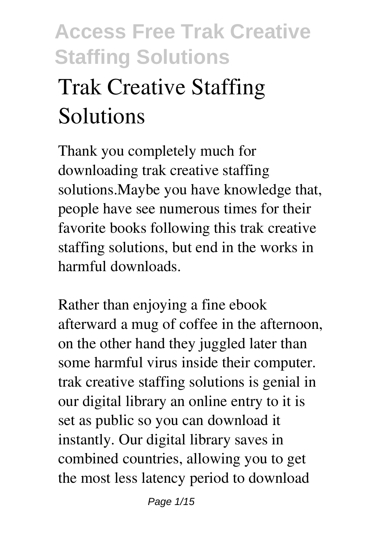# **Trak Creative Staffing Solutions**

Thank you completely much for downloading **trak creative staffing solutions**.Maybe you have knowledge that, people have see numerous times for their favorite books following this trak creative staffing solutions, but end in the works in harmful downloads.

Rather than enjoying a fine ebook afterward a mug of coffee in the afternoon, on the other hand they juggled later than some harmful virus inside their computer. **trak creative staffing solutions** is genial in our digital library an online entry to it is set as public so you can download it instantly. Our digital library saves in combined countries, allowing you to get the most less latency period to download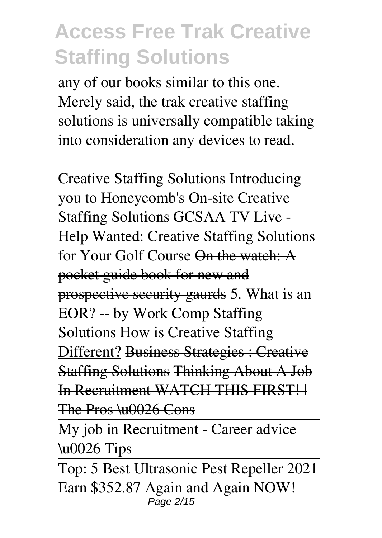any of our books similar to this one. Merely said, the trak creative staffing solutions is universally compatible taking into consideration any devices to read.

**Creative Staffing Solutions Introducing you to Honeycomb's On-site Creative Staffing Solutions** GCSAA TV Live - Help Wanted: Creative Staffing Solutions for Your Golf Course On the watch: A pocket guide book for new and prospective security gaurds *5. What is an EOR? -- by Work Comp Staffing Solutions* How is Creative Staffing Different? Business Strategies : Creative Staffing Solutions Thinking About A Job In Recruitment WATCH THIS FIRST! | The Pros \u0026 Cons

My job in Recruitment - Career advice \u0026 Tips

Top: 5 Best Ultrasonic Pest Repeller 2021 **Earn \$352.87 Again and Again NOW!** Page 2/15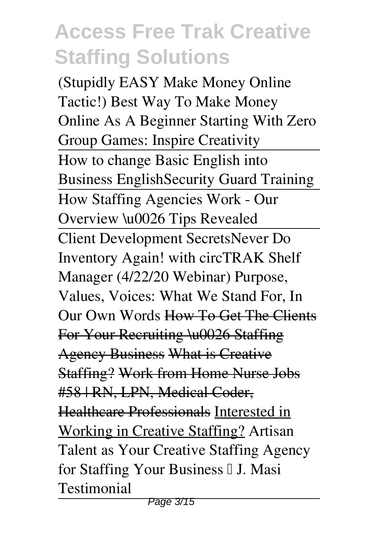**(Stupidly EASY Make Money Online Tactic!)** *Best Way To Make Money Online As A Beginner Starting With Zero* **Group Games: Inspire Creativity** How to change Basic English into Business English**Security Guard Training** How Staffing Agencies Work - Our Overview \u0026 Tips Revealed Client Development Secrets*Never Do Inventory Again! with circTRAK Shelf Manager (4/22/20 Webinar) Purpose, Values, Voices: What We Stand For, In Our Own Words* How To Get The Clients For Your Recruiting \u0026 Staffing Agency Business What is Creative Staffing? Work from Home Nurse Jobs #58 | RN, LPN, Medical Coder, Healthcare Professionals Interested in Working in Creative Staffing? **Artisan Talent as Your Creative Staffing Agency for Staffing Your Business │ J. Masi Testimonial**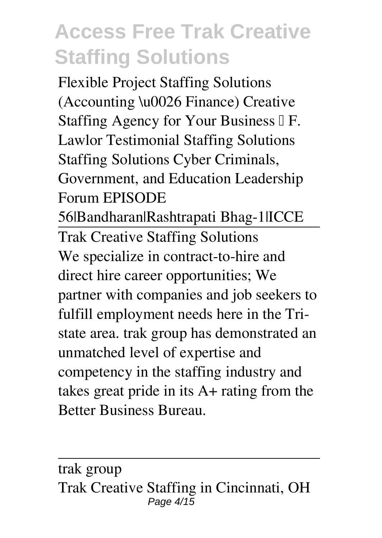Flexible Project Staffing Solutions (Accounting \u0026 Finance) Creative Staffing Agency for Your Business □ F. Lawlor Testimonial **Staffing Solutions** *Staffing Solutions Cyber Criminals, Government, and Education Leadership Forum* EPISODE 56|Bandharan|Rashtrapati Bhag-1|ICCE Trak Creative Staffing Solutions We specialize in contract-to-hire and direct hire career opportunities; We

partner with companies and job seekers to fulfill employment needs here in the Tristate area. trak group has demonstrated an unmatched level of expertise and competency in the staffing industry and takes great pride in its A+ rating from the Better Business Bureau.

trak group Trak Creative Staffing in Cincinnati, OH Page  $4/15$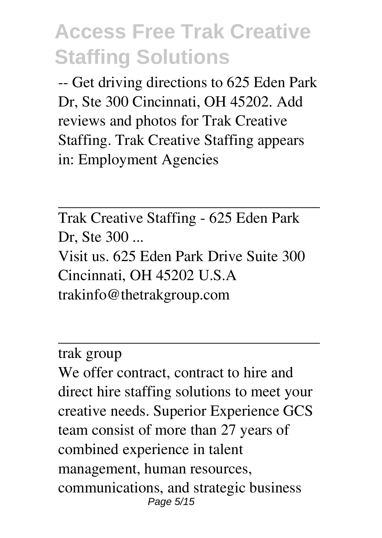-- Get driving directions to 625 Eden Park Dr, Ste 300 Cincinnati, OH 45202. Add reviews and photos for Trak Creative Staffing. Trak Creative Staffing appears in: Employment Agencies

Trak Creative Staffing - 625 Eden Park Dr, Ste 300 ... Visit us. 625 Eden Park Drive Suite 300 Cincinnati, OH 45202 U.S.A trakinfo@thetrakgroup.com

trak group

We offer contract, contract to hire and direct hire staffing solutions to meet your creative needs. Superior Experience GCS team consist of more than 27 years of combined experience in talent management, human resources, communications, and strategic business Page 5/15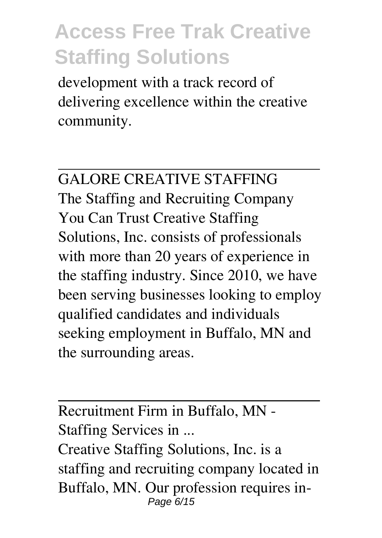development with a track record of delivering excellence within the creative community.

GALORE CREATIVE STAFFING The Staffing and Recruiting Company You Can Trust Creative Staffing Solutions, Inc. consists of professionals with more than 20 years of experience in the staffing industry. Since 2010, we have been serving businesses looking to employ qualified candidates and individuals seeking employment in Buffalo, MN and the surrounding areas.

Recruitment Firm in Buffalo, MN - Staffing Services in ... Creative Staffing Solutions, Inc. is a staffing and recruiting company located in Buffalo, MN. Our profession requires in-Page 6/15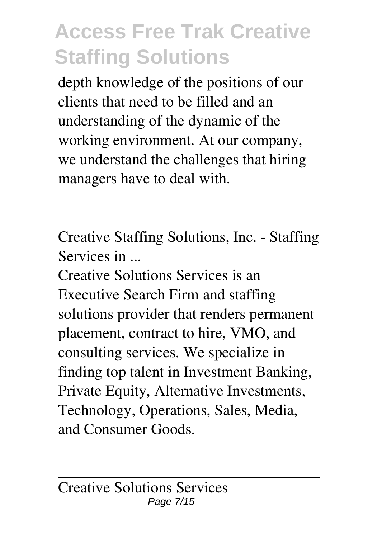depth knowledge of the positions of our clients that need to be filled and an understanding of the dynamic of the working environment. At our company, we understand the challenges that hiring managers have to deal with.

Creative Staffing Solutions, Inc. - Staffing Services in ...

Creative Solutions Services is an Executive Search Firm and staffing solutions provider that renders permanent placement, contract to hire, VMO, and consulting services. We specialize in finding top talent in Investment Banking, Private Equity, Alternative Investments, Technology, Operations, Sales, Media, and Consumer Goods.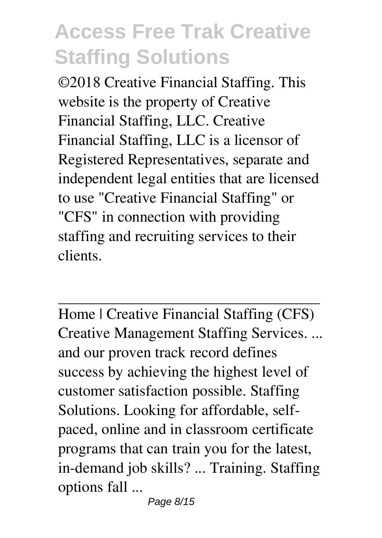©2018 Creative Financial Staffing. This website is the property of Creative Financial Staffing, LLC. Creative Financial Staffing, LLC is a licensor of Registered Representatives, separate and independent legal entities that are licensed to use "Creative Financial Staffing" or "CFS" in connection with providing staffing and recruiting services to their clients.

Home | Creative Financial Staffing (CFS) Creative Management Staffing Services. ... and our proven track record defines success by achieving the highest level of customer satisfaction possible. Staffing Solutions. Looking for affordable, selfpaced, online and in classroom certificate programs that can train you for the latest, in-demand job skills? ... Training. Staffing options fall ...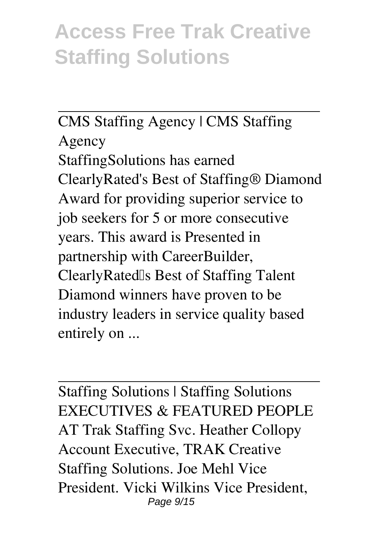#### CMS Staffing Agency | CMS Staffing

Agency StaffingSolutions has earned ClearlyRated's Best of Staffing® Diamond Award for providing superior service to job seekers for 5 or more consecutive years. This award is Presented in partnership with CareerBuilder, ClearlyRated's Best of Staffing Talent Diamond winners have proven to be industry leaders in service quality based entirely on ...

Staffing Solutions | Staffing Solutions EXECUTIVES & FEATURED PEOPLE AT Trak Staffing Svc. Heather Collopy Account Executive, TRAK Creative Staffing Solutions. Joe Mehl Vice President. Vicki Wilkins Vice President, Page 9/15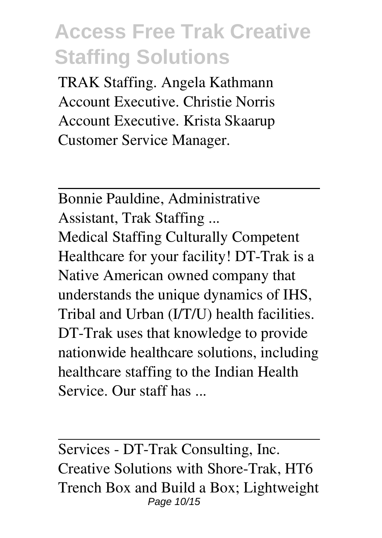TRAK Staffing. Angela Kathmann Account Executive. Christie Norris Account Executive. Krista Skaarup Customer Service Manager.

Bonnie Pauldine, Administrative Assistant, Trak Staffing ... Medical Staffing Culturally Competent Healthcare for your facility! DT-Trak is a Native American owned company that understands the unique dynamics of IHS, Tribal and Urban (I/T/U) health facilities. DT-Trak uses that knowledge to provide nationwide healthcare solutions, including healthcare staffing to the Indian Health Service. Our staff has ...

Services - DT-Trak Consulting, Inc. Creative Solutions with Shore-Trak, HT6 Trench Box and Build a Box; Lightweight Page 10/15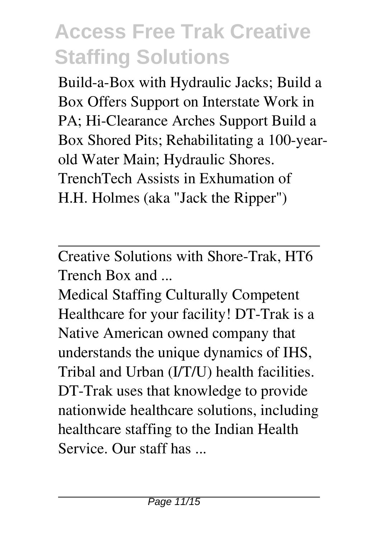Build-a-Box with Hydraulic Jacks; Build a Box Offers Support on Interstate Work in PA; Hi-Clearance Arches Support Build a Box Shored Pits; Rehabilitating a 100-yearold Water Main; Hydraulic Shores. TrenchTech Assists in Exhumation of H.H. Holmes (aka "Jack the Ripper")

Creative Solutions with Shore-Trak, HT6 Trench Box and ...

Medical Staffing Culturally Competent Healthcare for your facility! DT-Trak is a Native American owned company that understands the unique dynamics of IHS, Tribal and Urban (I/T/U) health facilities. DT-Trak uses that knowledge to provide nationwide healthcare solutions, including healthcare staffing to the Indian Health Service. Our staff has ...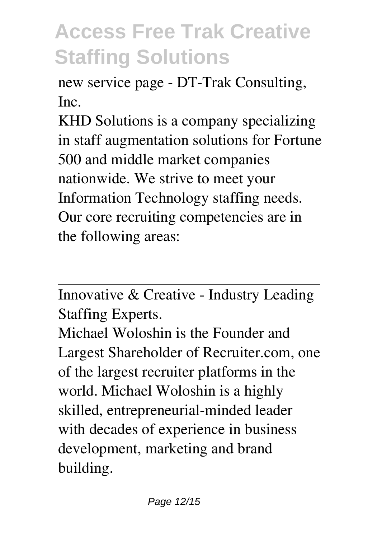new service page - DT-Trak Consulting, Inc.

KHD Solutions is a company specializing in staff augmentation solutions for Fortune 500 and middle market companies nationwide. We strive to meet your Information Technology staffing needs. Our core recruiting competencies are in the following areas:

Innovative & Creative - Industry Leading Staffing Experts.

Michael Woloshin is the Founder and Largest Shareholder of Recruiter.com, one of the largest recruiter platforms in the world. Michael Woloshin is a highly skilled, entrepreneurial-minded leader with decades of experience in business development, marketing and brand building.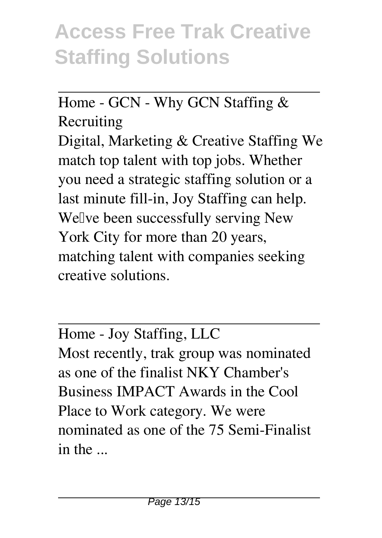#### Home - GCN - Why GCN Staffing & Recruiting

Digital, Marketing & Creative Staffing We match top talent with top jobs. Whether you need a strategic staffing solution or a last minute fill-in, Joy Staffing can help. Well ve been successfully serving New York City for more than 20 years, matching talent with companies seeking creative solutions.

Home - Joy Staffing, LLC Most recently, trak group was nominated as one of the finalist NKY Chamber's Business IMPACT Awards in the Cool Place to Work category. We were nominated as one of the 75 Semi-Finalist in the ...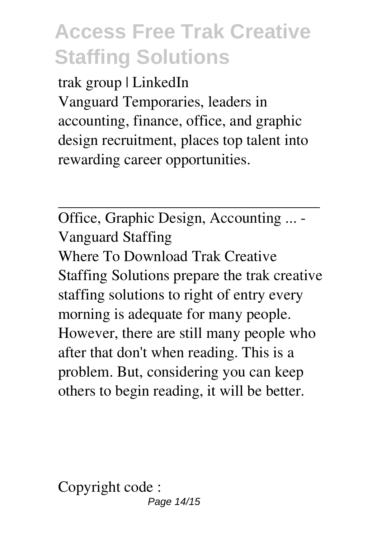trak group | LinkedIn Vanguard Temporaries, leaders in accounting, finance, office, and graphic design recruitment, places top talent into rewarding career opportunities.

Office, Graphic Design, Accounting ... - Vanguard Staffing Where To Download Trak Creative Staffing Solutions prepare the trak creative staffing solutions to right of entry every morning is adequate for many people. However, there are still many people who after that don't when reading. This is a problem. But, considering you can keep others to begin reading, it will be better.

Copyright code : Page 14/15